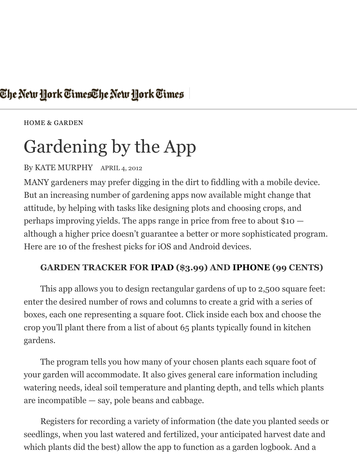HOME & GARDEN

# [Gardening by the Ap](http://www.nytimes.com/)p

#### By KATE MURPHY APRIL 4, 2012

[MANY gardener](http://www.nytimes.com/pages/garden/index.html)s may prefer digging in the dirt to fiddling with a mobile de But an increasing number of gardening apps now available might change the attitude, by helping with tasks like designing plots and choosing crops, and perhaps improving yields. The apps range in price from free to about \$10 although a higher price doesn't guarantee a better or more sophisticated program. Here are 10 of the freshest picks for iOS and Android devices.

### **GARDEN TRACKER FOR IPAD (\$3.99) AND IPHONE (99 CEI**

This app allows you to design rectangular gardens of up to 2,500 square enter the desired number of rows and columns to create a grid with a series boxes, each one representing a square foot. Click inside each box and choos crop you'll plant there from a list [of abou](http://topics.nytimes.com/top/reference/timestopics/subjects/i/ipad/index.html?inline=nyt-classifier)t 65 plants typi[cally found](http://topics.nytimes.com/top/reference/timestopics/subjects/i/iphone/index.html?inline=nyt-classifier) in kitchen gardens.

The program tells you how many of your chosen plants each square foot your garden will accommodate. It also gives general care information includ watering needs, ideal soil temperature and planting depth, and tells which p are incompatible — say, pole beans and cabbage.

Registers for recording a variety of information (the date you planted see seedlings, when you last watered and fertilized, your anticipated harvest date which plants did the best) allow the app to function as a garden logbook. An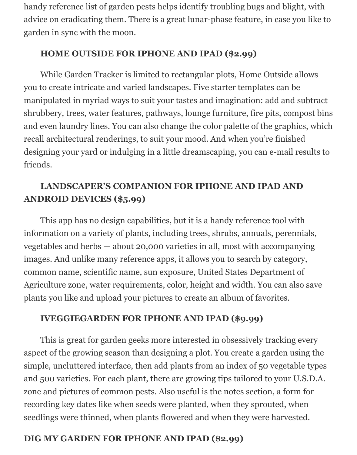handy reference list of garden pests helps identify troubling bugs and blight, with advice on eradicating them. There is a great lunar-phase feature, in case you like to garden in sync with the moon.

#### **HOME OUTSIDE FOR IPHONE AND IPAD (\$2.99)**

While Garden Tracker is limited to rectangular plots, Home Outside allows you to create intricate and varied landscapes. Five starter templates can be manipulated in myriad ways to suit your tastes and imagination: add and subtract shrubbery, trees, water features, pathways, lounge furniture, fire pits, compost bins and even laundry lines. You can also change the color palette of the graphics, which recall architectural renderings, to suit your mood. And when you're finished designing your yard or indulging in a little dreamscaping, you can e-mail results to friends.

## **LANDSCAPER'S COMPANION FOR IPHONE AND IPAD AND ANDROID DEVICES (\$5.99)**

This app has no design capabilities, but it is a handy reference tool with information on a variety of plants, including trees, shrubs, annuals, perennials, vegetables and herbs — about 20,000 varieties in all, most with accompanying images. And unlike many reference apps, it allows you to search by category, common name, scientific name, sun exposure, United States Department of Agriculture zone, water requirements, color, height and width. You can also save plants you like and upload your pictures to create an album of favorites.

#### **IVEGGIEGARDEN FOR IPHONE AND IPAD (\$9.99)**

This is great for garden geeks more interested in obsessively tracking every aspect of the growing season than designing a plot. You create a garden using the simple, uncluttered interface, then add plants from an index of 50 vegetable types and 500 varieties. For each plant, there are growing tips tailored to your U.S.D.A. zone and pictures of common pests. Also useful is the notes section, a form for recording key dates like when seeds were planted, when they sprouted, when seedlings were thinned, when plants flowered and when they were harvested.

#### **DIG MY GARDEN FOR IPHONE AND IPAD (\$2.99)**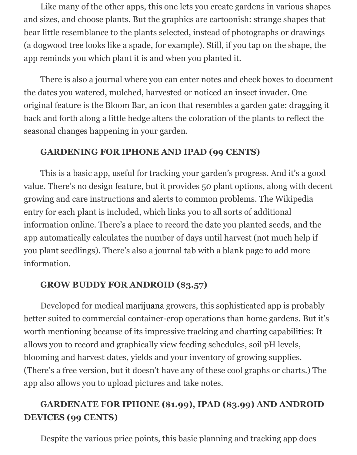app reminds you which plant it is and when you planted it.

There is also a journal where you can enter notes and check boxes to do the dates you watered, mulched, harvested or noticed an insect invader. On original feature is the Bloom Bar, an icon that resembles a garden gate: drag back and forth along a little hedge alters the coloration of the plants to refle seasonal changes happening in your garden.

#### **GARDENING FOR IPHONE AND IPAD (99 CENTS)**

This is a basic app, useful for tracking your garden's progress. And it's a value. There's no design feature, but it provides 50 plant options, along with growing and care instructions and alerts to common problems. The Wikipedia entry for each plant is included, which links you to all sorts of additional information online. There's a place to record the date you planted seeds, an app automatically calculates the number of days until harvest (not much he you plant seedlings). There's also a journal tab with a blank page to add more information.

#### **GROW BUDDY FOR ANDROID (\$3.57)**

Developed for medical marijuana growers, this sophisticated app is pro better suited to commercial container-crop operations than home gardens. worth mentioning because of its impressive tracking and charting capabilitionallows you to record and graphically view feeding schedules, soil pH levels, blooming and harvest dates, yields and your inventory of growing supplies. (There's a free version, but [it doesn't h](http://topics.nytimes.com/top/reference/timestopics/subjects/m/marijuana/index.html?inline=nyt-classifier)ave any of these cool graphs or charts.) app also allows you to upload pictures and take notes.

# **GARDENATE FOR IPHONE (\$1.99), IPAD (\$3.99) AND ANDE DEVICES (99 CENTS)**

Despite the various price points, this basic planning and tracking app do